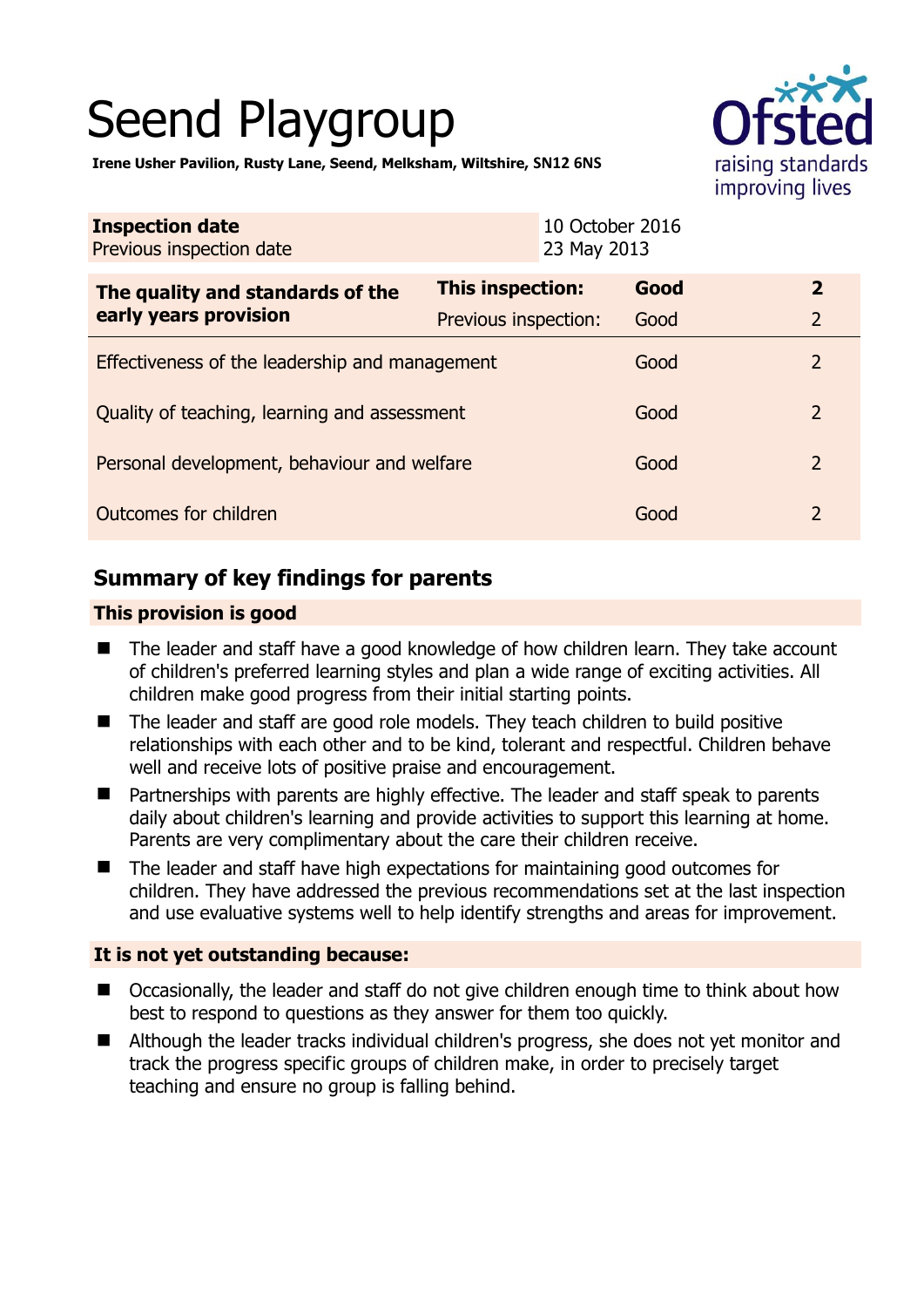# Seend Playgroup



**Irene Usher Pavilion, Rusty Lane, Seend, Melksham, Wiltshire, SN12 6NS**

| <b>Inspection date</b><br>Previous inspection date        | 10 October 2016<br>23 May 2013 |      |                |
|-----------------------------------------------------------|--------------------------------|------|----------------|
| The quality and standards of the<br>early years provision | <b>This inspection:</b>        | Good | $\overline{2}$ |
|                                                           | Previous inspection:           | Good | $\overline{2}$ |
| Effectiveness of the leadership and management            |                                | Good | $\mathcal{P}$  |
| Quality of teaching, learning and assessment              |                                | Good | $\overline{2}$ |
| Personal development, behaviour and welfare               |                                | Good | $\overline{2}$ |
| Outcomes for children                                     |                                | Good | $\overline{2}$ |

## **Summary of key findings for parents**

## **This provision is good**

- The leader and staff have a good knowledge of how children learn. They take account of children's preferred learning styles and plan a wide range of exciting activities. All children make good progress from their initial starting points.
- The leader and staff are good role models. They teach children to build positive relationships with each other and to be kind, tolerant and respectful. Children behave well and receive lots of positive praise and encouragement.
- Partnerships with parents are highly effective. The leader and staff speak to parents daily about children's learning and provide activities to support this learning at home. Parents are very complimentary about the care their children receive.
- The leader and staff have high expectations for maintaining good outcomes for children. They have addressed the previous recommendations set at the last inspection and use evaluative systems well to help identify strengths and areas for improvement.

#### **It is not yet outstanding because:**

- Occasionally, the leader and staff do not give children enough time to think about how best to respond to questions as they answer for them too quickly.
- Although the leader tracks individual children's progress, she does not yet monitor and track the progress specific groups of children make, in order to precisely target teaching and ensure no group is falling behind.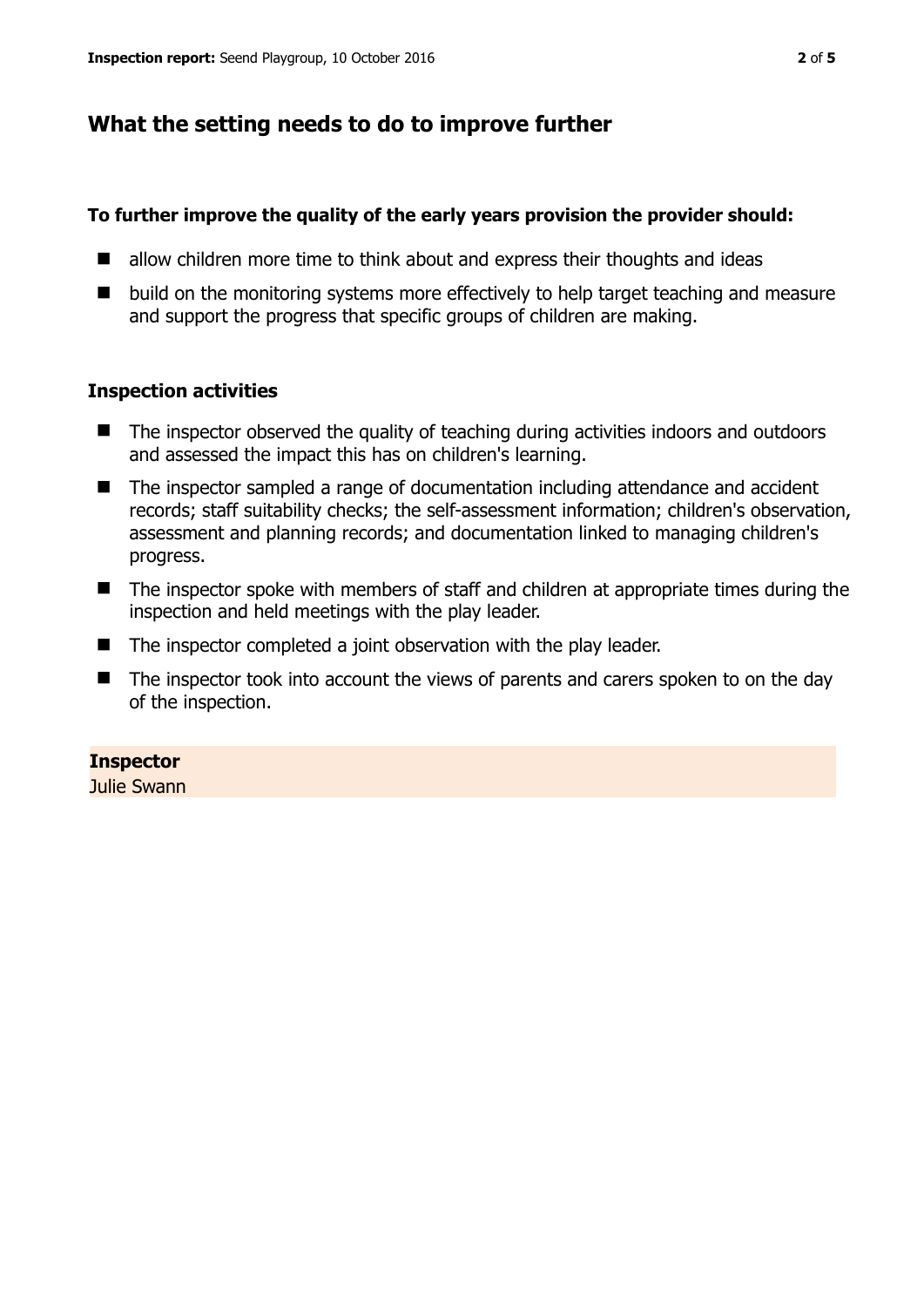## **What the setting needs to do to improve further**

#### **To further improve the quality of the early years provision the provider should:**

- $\blacksquare$  allow children more time to think about and express their thoughts and ideas
- build on the monitoring systems more effectively to help target teaching and measure and support the progress that specific groups of children are making.

#### **Inspection activities**

- The inspector observed the quality of teaching during activities indoors and outdoors and assessed the impact this has on children's learning.
- The inspector sampled a range of documentation including attendance and accident records; staff suitability checks; the self-assessment information; children's observation, assessment and planning records; and documentation linked to managing children's progress.
- The inspector spoke with members of staff and children at appropriate times during the inspection and held meetings with the play leader.
- The inspector completed a joint observation with the play leader.
- The inspector took into account the views of parents and carers spoken to on the day of the inspection.

#### **Inspector**

Julie Swann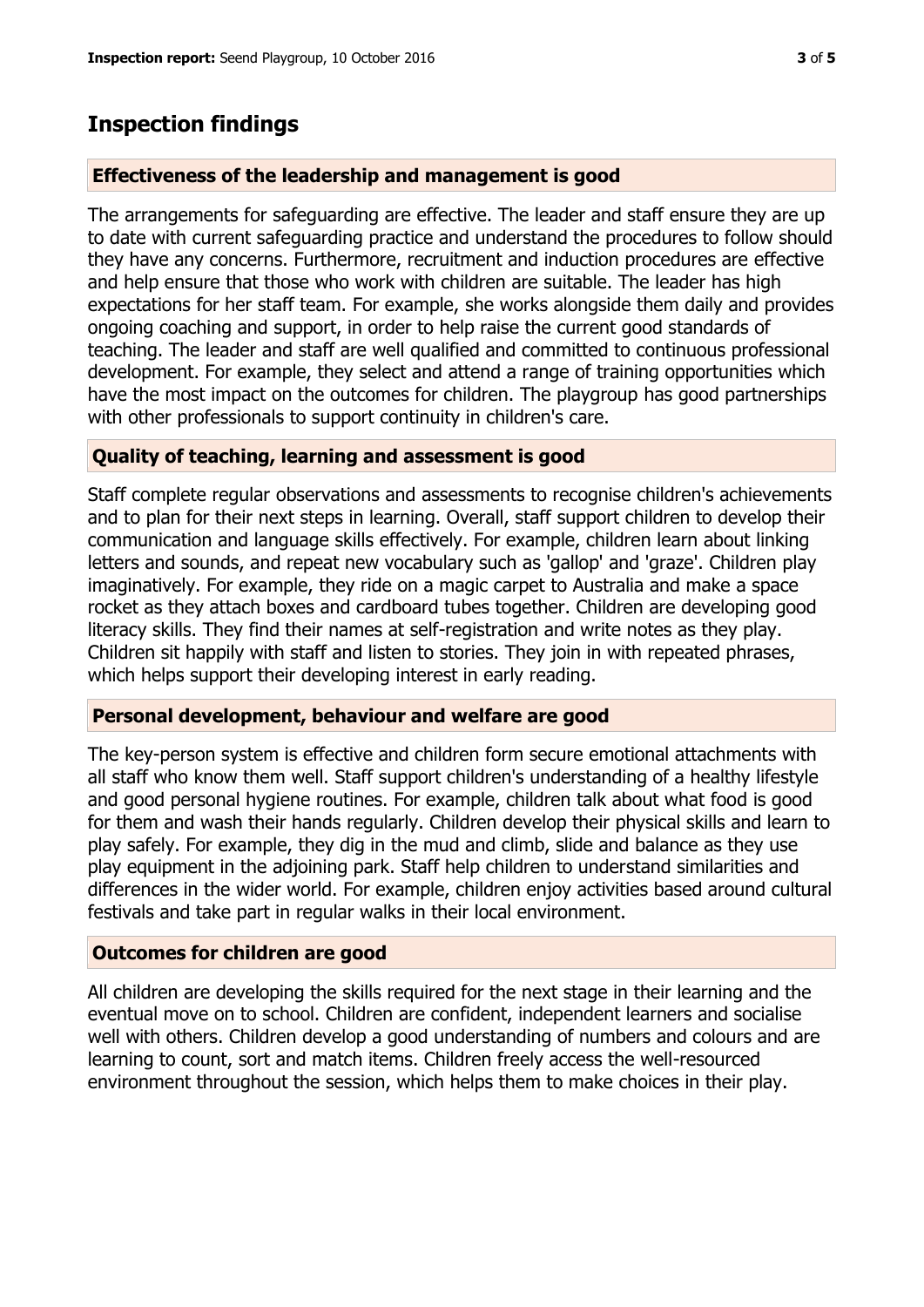# **Inspection findings**

#### **Effectiveness of the leadership and management is good**

The arrangements for safeguarding are effective. The leader and staff ensure they are up to date with current safeguarding practice and understand the procedures to follow should they have any concerns. Furthermore, recruitment and induction procedures are effective and help ensure that those who work with children are suitable. The leader has high expectations for her staff team. For example, she works alongside them daily and provides ongoing coaching and support, in order to help raise the current good standards of teaching. The leader and staff are well qualified and committed to continuous professional development. For example, they select and attend a range of training opportunities which have the most impact on the outcomes for children. The playgroup has good partnerships with other professionals to support continuity in children's care.

#### **Quality of teaching, learning and assessment is good**

Staff complete regular observations and assessments to recognise children's achievements and to plan for their next steps in learning. Overall, staff support children to develop their communication and language skills effectively. For example, children learn about linking letters and sounds, and repeat new vocabulary such as 'gallop' and 'graze'. Children play imaginatively. For example, they ride on a magic carpet to Australia and make a space rocket as they attach boxes and cardboard tubes together. Children are developing good literacy skills. They find their names at self-registration and write notes as they play. Children sit happily with staff and listen to stories. They join in with repeated phrases, which helps support their developing interest in early reading.

#### **Personal development, behaviour and welfare are good**

The key-person system is effective and children form secure emotional attachments with all staff who know them well. Staff support children's understanding of a healthy lifestyle and good personal hygiene routines. For example, children talk about what food is good for them and wash their hands regularly. Children develop their physical skills and learn to play safely. For example, they dig in the mud and climb, slide and balance as they use play equipment in the adjoining park. Staff help children to understand similarities and differences in the wider world. For example, children enjoy activities based around cultural festivals and take part in regular walks in their local environment.

## **Outcomes for children are good**

All children are developing the skills required for the next stage in their learning and the eventual move on to school. Children are confident, independent learners and socialise well with others. Children develop a good understanding of numbers and colours and are learning to count, sort and match items. Children freely access the well-resourced environment throughout the session, which helps them to make choices in their play.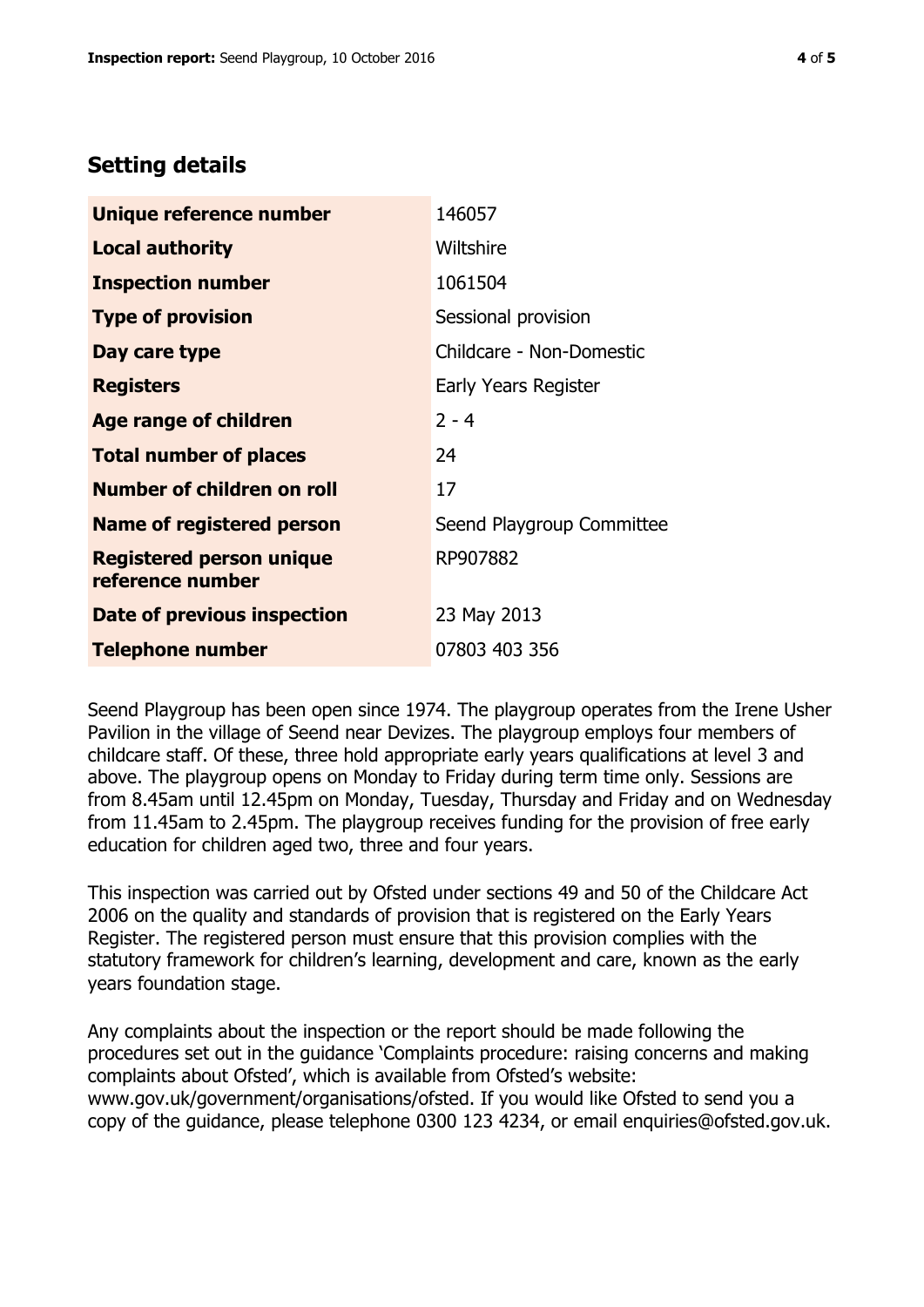## **Setting details**

| Unique reference number                             | 146057                    |
|-----------------------------------------------------|---------------------------|
| <b>Local authority</b>                              | Wiltshire                 |
| <b>Inspection number</b>                            | 1061504                   |
| <b>Type of provision</b>                            | Sessional provision       |
| Day care type                                       | Childcare - Non-Domestic  |
| <b>Registers</b>                                    | Early Years Register      |
| <b>Age range of children</b>                        | $2 - 4$                   |
| <b>Total number of places</b>                       | 24                        |
| Number of children on roll                          | 17                        |
| Name of registered person                           | Seend Playgroup Committee |
| <b>Registered person unique</b><br>reference number | RP907882                  |
| Date of previous inspection                         | 23 May 2013               |
| <b>Telephone number</b>                             | 07803 403 356             |

Seend Playgroup has been open since 1974. The playgroup operates from the Irene Usher Pavilion in the village of Seend near Devizes. The playgroup employs four members of childcare staff. Of these, three hold appropriate early years qualifications at level 3 and above. The playgroup opens on Monday to Friday during term time only. Sessions are from 8.45am until 12.45pm on Monday, Tuesday, Thursday and Friday and on Wednesday from 11.45am to 2.45pm. The playgroup receives funding for the provision of free early education for children aged two, three and four years.

This inspection was carried out by Ofsted under sections 49 and 50 of the Childcare Act 2006 on the quality and standards of provision that is registered on the Early Years Register. The registered person must ensure that this provision complies with the statutory framework for children's learning, development and care, known as the early years foundation stage.

Any complaints about the inspection or the report should be made following the procedures set out in the guidance 'Complaints procedure: raising concerns and making complaints about Ofsted', which is available from Ofsted's website: www.gov.uk/government/organisations/ofsted. If you would like Ofsted to send you a copy of the guidance, please telephone 0300 123 4234, or email enquiries@ofsted.gov.uk.